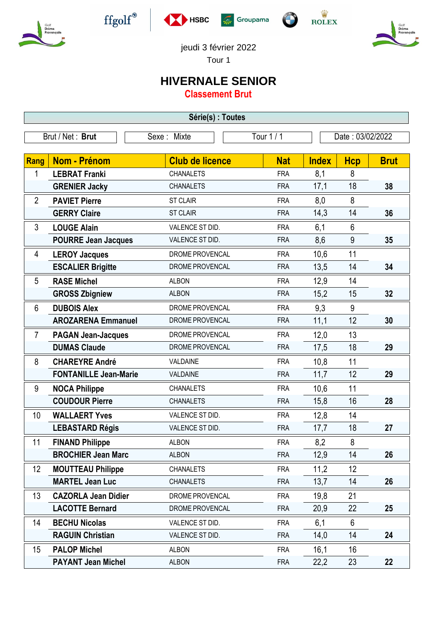











jeudi 3 février 2022

Tour 1

## **HIVERNALE SENIOR**

**Classement Brut**

| Série(s) : Toutes |                              |                        |            |              |                  |             |  |  |  |  |
|-------------------|------------------------------|------------------------|------------|--------------|------------------|-------------|--|--|--|--|
| Brut / Net: Brut  |                              | Sexe: Mixte            | Tour 1 / 1 |              | Date: 03/02/2022 |             |  |  |  |  |
|                   |                              |                        |            |              |                  |             |  |  |  |  |
| <b>Rang</b>       | Nom - Prénom                 | <b>Club de licence</b> | <b>Nat</b> | <b>Index</b> | <b>Hcp</b>       | <b>Brut</b> |  |  |  |  |
| 1                 | <b>LEBRAT Franki</b>         | <b>CHANALETS</b>       | <b>FRA</b> | 8,1          | 8                |             |  |  |  |  |
|                   | <b>GRENIER Jacky</b>         | <b>CHANALETS</b>       | <b>FRA</b> | 17,1         | 18               | 38          |  |  |  |  |
| $\overline{2}$    | <b>PAVIET Pierre</b>         | <b>ST CLAIR</b>        | <b>FRA</b> | 8,0          | 8                |             |  |  |  |  |
|                   | <b>GERRY Claire</b>          | <b>ST CLAIR</b>        | <b>FRA</b> | 14,3         | 14               | 36          |  |  |  |  |
| 3                 | <b>LOUGE Alain</b>           | VALENCE ST DID.        | <b>FRA</b> | 6,1          | 6                |             |  |  |  |  |
|                   | <b>POURRE Jean Jacques</b>   | VALENCE ST DID.        | <b>FRA</b> | 8,6          | 9                | 35          |  |  |  |  |
| 4                 | <b>LEROY Jacques</b>         | DROME PROVENCAL        | <b>FRA</b> | 10,6         | 11               |             |  |  |  |  |
|                   | <b>ESCALIER Brigitte</b>     | DROME PROVENCAL        | <b>FRA</b> | 13,5         | 14               | 34          |  |  |  |  |
| 5                 | <b>RASE Michel</b>           | <b>ALBON</b>           | <b>FRA</b> | 12,9         | 14               |             |  |  |  |  |
|                   | <b>GROSS Zbigniew</b>        | <b>ALBON</b>           | <b>FRA</b> | 15,2         | 15               | 32          |  |  |  |  |
| 6                 | <b>DUBOIS Alex</b>           | DROME PROVENCAL        | <b>FRA</b> | 9,3          | 9                |             |  |  |  |  |
|                   | <b>AROZARENA Emmanuel</b>    | DROME PROVENCAL        | <b>FRA</b> | 11,1         | 12               | 30          |  |  |  |  |
| $\overline{7}$    | <b>PAGAN Jean-Jacques</b>    | DROME PROVENCAL        | <b>FRA</b> | 12,0         | 13               |             |  |  |  |  |
|                   | <b>DUMAS Claude</b>          | DROME PROVENCAL        | <b>FRA</b> | 17,5         | 18               | 29          |  |  |  |  |
| 8                 | <b>CHAREYRE André</b>        | VALDAINE               | <b>FRA</b> | 10,8         | 11               |             |  |  |  |  |
|                   | <b>FONTANILLE Jean-Marie</b> | VALDAINE               | <b>FRA</b> | 11,7         | 12               | 29          |  |  |  |  |
| 9                 | <b>NOCA Philippe</b>         | <b>CHANALETS</b>       | <b>FRA</b> | 10,6         | 11               |             |  |  |  |  |
|                   | <b>COUDOUR Pierre</b>        | <b>CHANALETS</b>       | <b>FRA</b> | 15,8         | 16               | 28          |  |  |  |  |
| 10                | <b>WALLAERT Yves</b>         | VALENCE ST DID.        | <b>FRA</b> | 12,8         | 14               |             |  |  |  |  |
|                   | <b>LEBASTARD Régis</b>       | VALENCE ST DID.        | <b>FRA</b> | 17,7         | 18               | 27          |  |  |  |  |
| 11                | <b>FINAND Philippe</b>       | <b>ALBON</b>           | <b>FRA</b> | 8,2          | 8                |             |  |  |  |  |
|                   | <b>BROCHIER Jean Marc</b>    | <b>ALBON</b>           | <b>FRA</b> | 12,9         | 14               | 26          |  |  |  |  |
| 12                | <b>MOUTTEAU Philippe</b>     | <b>CHANALETS</b>       | <b>FRA</b> | 11,2         | 12               |             |  |  |  |  |
|                   | <b>MARTEL Jean Luc</b>       | <b>CHANALETS</b>       | <b>FRA</b> | 13,7         | 14               | 26          |  |  |  |  |
| 13                | <b>CAZORLA Jean Didier</b>   | DROME PROVENCAL        | <b>FRA</b> | 19,8         | 21               |             |  |  |  |  |
|                   | <b>LACOTTE Bernard</b>       | DROME PROVENCAL        | <b>FRA</b> | 20,9         | 22               | 25          |  |  |  |  |
| 14                | <b>BECHU Nicolas</b>         | VALENCE ST DID.        | <b>FRA</b> | 6,1          | 6                |             |  |  |  |  |
|                   | <b>RAGUIN Christian</b>      | VALENCE ST DID.        | <b>FRA</b> | 14,0         | 14               | 24          |  |  |  |  |
| 15 <sub>2</sub>   | <b>PALOP Michel</b>          | <b>ALBON</b>           | <b>FRA</b> | 16,1         | 16               |             |  |  |  |  |
|                   | <b>PAYANT Jean Michel</b>    | <b>ALBON</b>           | <b>FRA</b> | 22,2         | 23               | 22          |  |  |  |  |
|                   |                              |                        |            |              |                  |             |  |  |  |  |